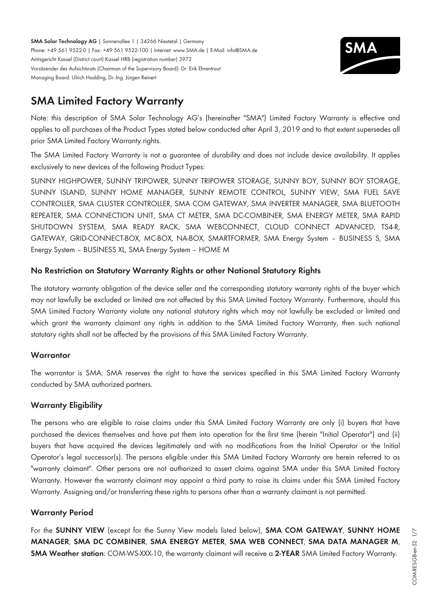**SMA Solar Technology AG** | Sonnenallee 1 | 34266 Niestetal | Germany Phone: +49 561 9522-0 | Fax: +49 561 9522-100 | Internet: www.SMA.de | E-Mail: info@SMA.de Amtsgericht Kassel (District court) Kassel HRB (registration number) 3972 Vorsitzender des Aufsichtsrats (Chairman of the Supervisory Board): Dr. Erik Ehrentraut Managing Board: Ulrich Hadding, Dr.-Ing. Jürgen Reinert



# **SMA Limited Factory Warranty**

Note: this description of SMA Solar Technology AG's (hereinafter "SMA") Limited Factory Warranty is effective and applies to all purchases of the Product Types stated below conducted after April 3, 2019 and to that extent supersedes all prior SMA Limited Factory Warranty rights.

The SMA Limited Factory Warranty is not a guarantee of durability and does not include device availability. It applies exclusively to new devices of the following Product Types:

SUNNY HIGHPOWER, SUNNY TRIPOWER, SUNNY TRIPOWER STORAGE, SUNNY BOY, SUNNY BOY STORAGE, SUNNY ISLAND, SUNNY HOME MANAGER, SUNNY REMOTE CONTROL, SUNNY VIEW, SMA FUEL SAVE CONTROLLER, SMA CLUSTER CONTROLLER, SMA COM GATEWAY, SMA INVERTER MANAGER, SMA BLUETOOTH REPEATER, SMA CONNECTION UNIT, SMA CT METER, SMA DC-COMBINER, SMA ENERGY METER, SMA RAPID SHUTDOWN SYSTEM, SMA READY RACK, SMA WEBCONNECT, CLOUD CONNECT ADVANCED, TS4-R, GATEWAY, GRID-CONNECT-BOX, MC-BOX, NA-BOX, SMARTFORMER, SMA Energy System – BUSINESS S, SMA Energy System – BUSINESS XL, SMA Energy System – HOME M

## **No Restriction on Statutory Warranty Rights or other National Statutory Rights**

The statutory warranty obligation of the device seller and the corresponding statutory warranty rights of the buyer which may not lawfully be excluded or limited are not affected by this SMA Limited Factory Warranty. Furthermore, should this SMA Limited Factory Warranty violate any national statutory rights which may not lawfully be excluded or limited and which grant the warranty claimant any rights in addition to the SMA Limited Factory Warranty, then such national statutory rights shall not be affected by the provisions of this SMA Limited Factory Warranty.

## **Warrantor**

The warrantor is SMA. SMA reserves the right to have the services specified in this SMA Limited Factory Warranty conducted by SMA authorized partners.

## **Warranty Eligibility**

The persons who are eligible to raise claims under this SMA Limited Factory Warranty are only (i) buyers that have purchased the devices themselves and have put them into operation for the first time (herein "Initial Operator") and (ii) buyers that have acquired the devices legitimately and with no modifications from the Initial Operator or the Initial Operator's legal successor(s). The persons eligible under this SMA Limited Factory Warranty are herein referred to as "warranty claimant". Other persons are not authorized to assert claims against SMA under this SMA Limited Factory Warranty. However the warranty claimant may appoint a third party to raise its claims under this SMA Limited Factory Warranty. Assigning and/or transferring these rights to persons other than a warranty claimant is not permitted.

## **Warranty Period**

For the **SUNNY VIEW** (except for the Sunny View models listed below), **SMA COM GATEWAY**, **SUNNY HOME MANAGER**, **SMA DC COMBINER**, **SMA ENERGY METER**, **SMA WEB CONNECT**, **SMA DATA MANAGER M**, **SMA Weather station**: COM-WS-XXX-10, the warranty claimant will receive a **2-YEAR** SMA Limited Factory Warranty.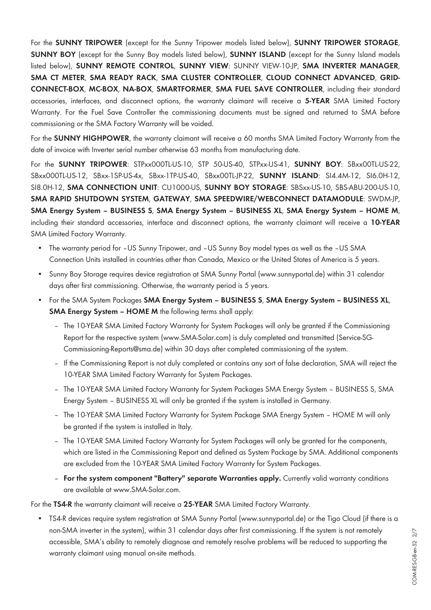For the **SUNNY TRIPOWER** (except for the Sunny Tripower models listed below), **SUNNY TRIPOWER STORAGE**, **SUNNY BOY** (except for the Sunny Boy models listed below), **SUNNY ISLAND** (except for the Sunny Island models listed below), **SUNNY REMOTE CONTROL**, **SUNNY VIEW**: SUNNY VIEW-10-JP, **SMA INVERTER MANAGER**, **SMA CT METER**, **SMA READY RACK**, **SMA CLUSTER CONTROLLER**, **CLOUD CONNECT ADVANCED**, **GRID-CONNECT-BOX**, **MC-BOX**, **NA-BOX**, **SMARTFORMER**, **SMA FUEL SAVE CONTROLLER**, including their standard accessories, interfaces, and disconnect options, the warranty claimant will receive a **5-YEAR** SMA Limited Factory Warranty. For the Fuel Save Controller the commissioning documents must be signed and returned to SMA before commissioning or the SMA Factory Warranty will be voided.

For the **SUNNY HIGHPOWER**, the warranty claimant will receive a 60 months SMA Limited Factory Warranty from the date of invoice with Inverter serial number otherwise 63 months from manufacturing date.

For the **SUNNY TRIPOWER**: STPxx000TL-US-10, STP 50-US-40, STPxx-US-41, **SUNNY BOY**: SBxx00TL-US-22, SBxx000TL-US-12, SBxx-1SP-US-4x, SBxx-1TP-US-40, SBxx00TL-JP-22, **SUNNY ISLAND**: SI4.4M-12, SI6.0H-12, SI8.0H-12, **SMA CONNECTION UNIT**: CU1000-US, **SUNNY BOY STORAGE**: SBSxx-US-10, SBS-ABU-200-US-10, **SMA RAPID SHUTDOWN SYSTEM**, **GATEWAY**, **SMA SPEEDWIRE/WEBCONNECT DATAMODULE**: SWDM-JP, **SMA Energy System – BUSINESS S**, **SMA Energy System – BUSINESS XL**, **SMA Energy System – HOME M**, including their standard accessories, interface and disconnect options, the warranty claimant will receive a **10-YEAR** SMA Limited Factory Warranty.

- The warranty period for -US Sunny Tripower, and -US Sunny Boy model types as well as the -US SMA Connection Units installed in countries other than Canada, Mexico or the United States of America is 5 years.
- Sunny Boy Storage requires device registration at SMA Sunny Portal (www.sunnyportal.de) within 31 calendar days after first commissioning. Otherwise, the warranty period is 5 years.
- For the SMA System Packages **SMA Energy System BUSINESS S**, **SMA Energy System BUSINESS XL**, **SMA Energy System - HOME M** the following terms shall apply:
	- The 10-YEAR SMA Limited Factory Warranty for System Packages will only be granted if the Commissioning Report for the respective system ([www.SMA-Solar.com\)](http://www.SMA-Solar.com) is duly completed and transmitted (Service-SG-Commissioning-Reports@sma.de) within 30 days after completed commissioning of the system.
	- If the Commissioning Report is not duly completed or contains any sort of false declaration, SMA will reject the 10-YEAR SMA Limited Factory Warranty for System Packages.
	- The 10-YEAR SMA Limited Factory Warranty for System Packages SMA Energy System BUSINESS S, SMA Energy System – BUSINESS XL will only be granted if the system is installed in Germany.
	- The 10-YEAR SMA Limited Factory Warranty for System Package SMA Energy System HOME M will only be granted if the system is installed in Italy.
	- The 10-YEAR SMA Limited Factory Warranty for System Packages will only be granted for the components, which are listed in the Commissioning Report and defined as System Package by SMA. Additional components are excluded from the 10-YEAR SMA Limited Factory Warranty for System Packages.
	- **For the system component "Battery" separate Warranties apply.** Currently valid warranty conditions are available at [www.SMA-Solar.com](http://www.SMA-Solar.com).

For the **TS4-R** the warranty claimant will receive a **25-YEAR** SMA Limited Factory Warranty.

• TS4-R devices require system registration at SMA Sunny Portal (www.sunnyportal.de) or the Tigo Cloud (if there is a non-SMA inverter in the system), within 31 calendar days after first commissioning. If the system is not remotely accessible, SMA's ability to remotely diagnose and remotely resolve problems will be reduced to supporting the warranty claimant using manual on-site methods.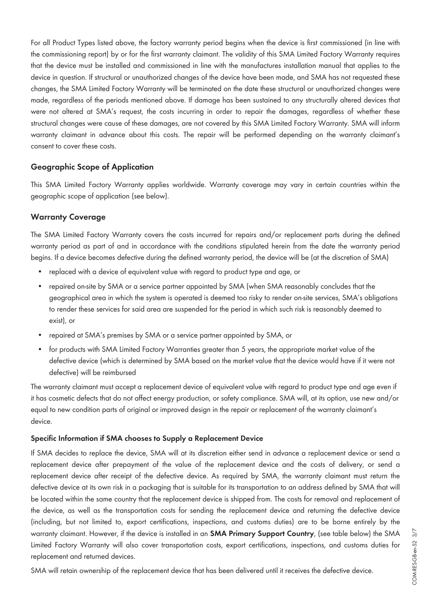For all Product Types listed above, the factory warranty period begins when the device is first commissioned (in line with the commissioning report) by or for the first warranty claimant. The validity of this SMA Limited Factory Warranty requires that the device must be installed and commissioned in line with the manufactures installation manual that applies to the device in question. If structural or unauthorized changes of the device have been made, and SMA has not requested these changes, the SMA Limited Factory Warranty will be terminated on the date these structural or unauthorized changes were made, regardless of the periods mentioned above. If damage has been sustained to any structurally altered devices that were not altered at SMA's request, the costs incurring in order to repair the damages, regardless of whether these structural changes were cause of these damages, are not covered by this SMA Limited Factory Warranty. SMA will inform warranty claimant in advance about this costs. The repair will be performed depending on the warranty claimant's consent to cover these costs.

### **Geographic Scope of Application**

This SMA Limited Factory Warranty applies worldwide. Warranty coverage may vary in certain countries within the geographic scope of application (see below).

#### **Warranty Coverage**

The SMA Limited Factory Warranty covers the costs incurred for repairs and/or replacement parts during the defined warranty period as part of and in accordance with the conditions stipulated herein from the date the warranty period begins. If a device becomes defective during the defined warranty period, the device will be (at the discretion of SMA)

- replaced with a device of equivalent value with regard to product type and age, or
- repaired on-site by SMA or a service partner appointed by SMA (when SMA reasonably concludes that the geographical area in which the system is operated is deemed too risky to render on-site services, SMA's obligations to render these services for said area are suspended for the period in which such risk is reasonably deemed to exist), or
- repaired at SMA's premises by SMA or a service partner appointed by SMA, or
- for products with SMA Limited Factory Warranties greater than 5 years, the appropriate market value of the defective device (which is determined by SMA based on the market value that the device would have if it were not defective) will be reimbursed

The warranty claimant must accept a replacement device of equivalent value with regard to product type and age even if it has cosmetic defects that do not affect energy production, or safety compliance. SMA will, at its option, use new and/or equal to new condition parts of original or improved design in the repair or replacement of the warranty claimant's device.

#### **Specific Information if SMA chooses to Supply a Replacement Device**

If SMA decides to replace the device, SMA will at its discretion either send in advance a replacement device or send a replacement device after prepayment of the value of the replacement device and the costs of delivery, or send a replacement device after receipt of the defective device. As required by SMA, the warranty claimant must return the defective device at its own risk in a packaging that is suitable for its transportation to an address defined by SMA that will be located within the same country that the replacement device is shipped from. The costs for removal and replacement of the device, as well as the transportation costs for sending the replacement device and returning the defective device (including, but not limited to, export certifications, inspections, and customs duties) are to be borne entirely by the warranty claimant. However, if the device is installed in an **SMA Primary Support Country**, (see table below) the SMA Limited Factory Warranty will also cover transportation costs, export certifications, inspections, and customs duties for replacement and returned devices.

COM-RES-GB-en-52 3/7

COM-RES-GB-en-52 3/7

SMA will retain ownership of the replacement device that has been delivered until it receives the defective device.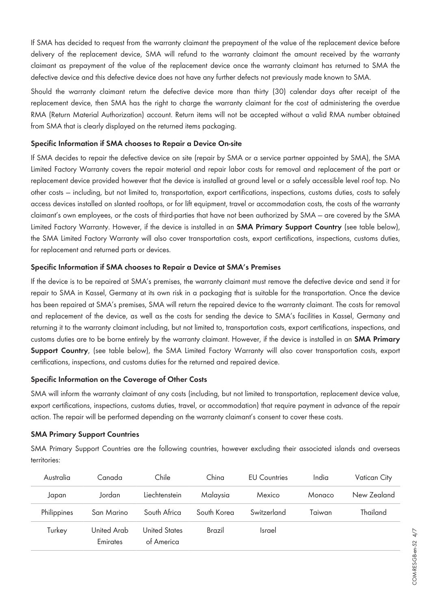If SMA has decided to request from the warranty claimant the prepayment of the value of the replacement device before delivery of the replacement device, SMA will refund to the warranty claimant the amount received by the warranty claimant as prepayment of the value of the replacement device once the warranty claimant has returned to SMA the defective device and this defective device does not have any further defects not previously made known to SMA.

Should the warranty claimant return the defective device more than thirty (30) calendar days after receipt of the replacement device, then SMA has the right to charge the warranty claimant for the cost of administering the overdue RMA (Return Material Authorization) account. Return items will not be accepted without a valid RMA number obtained from SMA that is clearly displayed on the returned items packaging.

#### **Specific Information if SMA chooses to Repair a Device On-site**

If SMA decides to repair the defective device on site (repair by SMA or a service partner appointed by SMA), the SMA Limited Factory Warranty covers the repair material and repair labor costs for removal and replacement of the part or replacement device provided however that the device is installed at ground level or a safely accessible level roof top. No other costs — including, but not limited to, transportation, export certifications, inspections, customs duties, costs to safely access devices installed on slanted rooftops, or for lift equipment, travel or accommodation costs, the costs of the warranty claimant's own employees, or the costs of third-parties that have not been authorized by SMA — are covered by the SMA Limited Factory Warranty. However, if the device is installed in an **SMA Primary Support Country** (see table below), the SMA Limited Factory Warranty will also cover transportation costs, export certifications, inspections, customs duties, for replacement and returned parts or devices.

### **Specific Information if SMA chooses to Repair a Device at SMA's Premises**

If the device is to be repaired at SMA's premises, the warranty claimant must remove the defective device and send it for repair to SMA in Kassel, Germany at its own risk in a packaging that is suitable for the transportation. Once the device has been repaired at SMA's premises, SMA will return the repaired device to the warranty claimant. The costs for removal and replacement of the device, as well as the costs for sending the device to SMA's facilities in Kassel, Germany and returning it to the warranty claimant including, but not limited to, transportation costs, export certifications, inspections, and customs duties are to be borne entirely by the warranty claimant. However, if the device is installed in an **SMA Primary Support Country**, (see table below), the SMA Limited Factory Warranty will also cover transportation costs, export certifications, inspections, and customs duties for the returned and repaired device.

#### **Specific Information on the Coverage of Other Costs**

SMA will inform the warranty claimant of any costs (including, but not limited to transportation, replacement device value, export certifications, inspections, customs duties, travel, or accommodation) that require payment in advance of the repair action. The repair will be performed depending on the warranty claimant's consent to cover these costs.

#### **SMA Primary Support Countries**

SMA Primary Support Countries are the following countries, however excluding their associated islands and overseas territories:

| Australia   | Canada                  | Chile                              | China       | <b>EU</b> Countries | India  | <b>Vatican City</b> |
|-------------|-------------------------|------------------------------------|-------------|---------------------|--------|---------------------|
| Japan       | Jordan                  | Liechtenstein                      | Malaysia    | Mexico              | Monaco | New Zealand         |
| Philippines | San Marino              | South Africa                       | South Korea | Switzerland         | Taiwan | Thailand            |
| Turkey      | United Arab<br>Emirates | <b>United States</b><br>of America | Brazil      | <b>Israel</b>       |        |                     |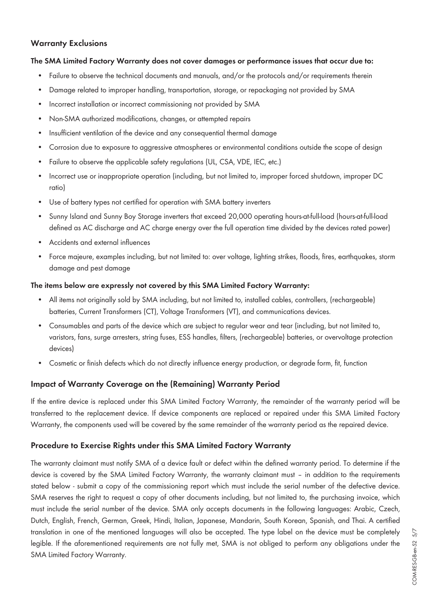## **Warranty Exclusions**

#### **The SMA Limited Factory Warranty does not cover damages or performance issues that occur due to:**

- Failure to observe the technical documents and manuals, and/or the protocols and/or requirements therein
- Damage related to improper handling, transportation, storage, or repackaging not provided by SMA
- Incorrect installation or incorrect commissioning not provided by SMA
- Non-SMA authorized modifications, changes, or attempted repairs
- Insufficient ventilation of the device and any consequential thermal damage
- Corrosion due to exposure to aggressive atmospheres or environmental conditions outside the scope of design
- Failure to observe the applicable safety regulations (UL, CSA, VDE, IEC, etc.)
- Incorrect use or inappropriate operation (including, but not limited to, improper forced shutdown, improper DC ratio)
- Use of battery types not certified for operation with SMA battery inverters
- Sunny Island and Sunny Boy Storage inverters that exceed 20,000 operating hours-at-full-load (hours-at-full-load defined as AC discharge and AC charge energy over the full operation time divided by the devices rated power)
- Accidents and external influences
- Force majeure, examples including, but not limited to: over voltage, lighting strikes, floods, fires, earthquakes, storm damage and pest damage

#### **The items below are expressly not covered by this SMA Limited Factory Warranty:**

- All items not originally sold by SMA including, but not limited to, installed cables, controllers, (rechargeable) batteries, Current Transformers (CT), Voltage Transformers (VT), and communications devices.
- Consumables and parts of the device which are subject to regular wear and tear (including, but not limited to, varistors, fans, surge arresters, string fuses, ESS handles, filters, (rechargeable) batteries, or overvoltage protection devices)
- Cosmetic or finish defects which do not directly influence energy production, or degrade form, fit, function

## **Impact of Warranty Coverage on the (Remaining) Warranty Period**

If the entire device is replaced under this SMA Limited Factory Warranty, the remainder of the warranty period will be transferred to the replacement device. If device components are replaced or repaired under this SMA Limited Factory Warranty, the components used will be covered by the same remainder of the warranty period as the repaired device.

#### **Procedure to Exercise Rights under this SMA Limited Factory Warranty**

The warranty claimant must notify SMA of a device fault or defect within the defined warranty period. To determine if the device is covered by the SMA Limited Factory Warranty, the warranty claimant must – in addition to the requirements stated below - submit a copy of the commissioning report which must include the serial number of the defective device. SMA reserves the right to request a copy of other documents including, but not limited to, the purchasing invoice, which must include the serial number of the device. SMA only accepts documents in the following languages: Arabic, Czech, Dutch, English, French, German, Greek, Hindi, Italian, Japanese, Mandarin, South Korean, Spanish, and Thai. A certified translation in one of the mentioned languages will also be accepted. The type label on the device must be completely legible. If the aforementioned requirements are not fully met, SMA is not obliged to perform any obligations under the SMA Limited Factory Warranty.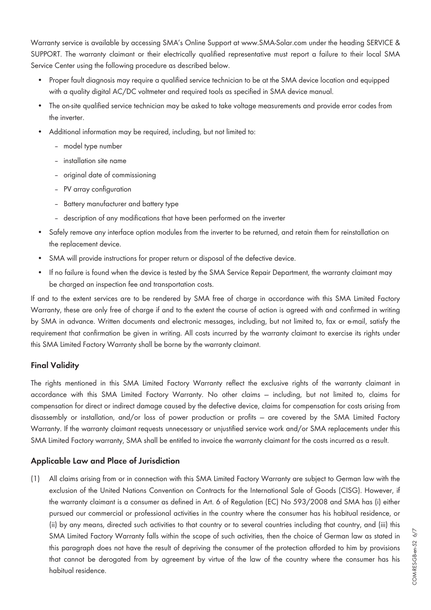Warranty service is available by accessing SMA's Online Support at [www.SMA-Solar.com](http://www.SMA-Solar.com) under the heading SERVICE & SUPPORT. The warranty claimant or their electrically qualified representative must report a failure to their local SMA Service Center using the following procedure as described below.

- Proper fault diagnosis may require a qualified service technician to be at the SMA device location and equipped with a quality digital AC/DC voltmeter and required tools as specified in SMA device manual.
- The on-site qualified service technician may be asked to take voltage measurements and provide error codes from the inverter.
- Additional information may be required, including, but not limited to:
	- model type number
	- installation site name
	- original date of commissioning
	- PV array configuration
	- Battery manufacturer and battery type
	- description of any modifications that have been performed on the inverter
- Safely remove any interface option modules from the inverter to be returned, and retain them for reinstallation on the replacement device.
- SMA will provide instructions for proper return or disposal of the defective device.
- If no failure is found when the device is tested by the SMA Service Repair Department, the warranty claimant may be charged an inspection fee and transportation costs.

If and to the extent services are to be rendered by SMA free of charge in accordance with this SMA Limited Factory Warranty, these are only free of charge if and to the extent the course of action is agreed with and confirmed in writing by SMA in advance. Written documents and electronic messages, including, but not limited to, fax or e-mail, satisfy the requirement that confirmation be given in writing. All costs incurred by the warranty claimant to exercise its rights under this SMA Limited Factory Warranty shall be borne by the warranty claimant.

## **Final Validity**

The rights mentioned in this SMA Limited Factory Warranty reflect the exclusive rights of the warranty claimant in accordance with this SMA Limited Factory Warranty. No other claims — including, but not limited to, claims for compensation for direct or indirect damage caused by the defective device, claims for compensation for costs arising from disassembly or installation, and/or loss of power production or profits — are covered by the SMA Limited Factory Warranty. If the warranty claimant requests unnecessary or unjustified service work and/or SMA replacements under this SMA Limited Factory warranty, SMA shall be entitled to invoice the warranty claimant for the costs incurred as a result.

## **Applicable Law and Place of Jurisdiction**

(1) All claims arising from or in connection with this SMA Limited Factory Warranty are subject to German law with the exclusion of the United Nations Convention on Contracts for the International Sale of Goods (CISG). However, if the warranty claimant is a consumer as defined in Art. 6 of Regulation (EC) No 593/2008 and SMA has (i) either pursued our commercial or professional activities in the country where the consumer has his habitual residence, or (ii) by any means, directed such activities to that country or to several countries including that country, and (iii) this SMA Limited Factory Warranty falls within the scope of such activities, then the choice of German law as stated in this paragraph does not have the result of depriving the consumer of the protection afforded to him by provisions that cannot be derogated from by agreement by virtue of the law of the country where the consumer has his habitual residence.